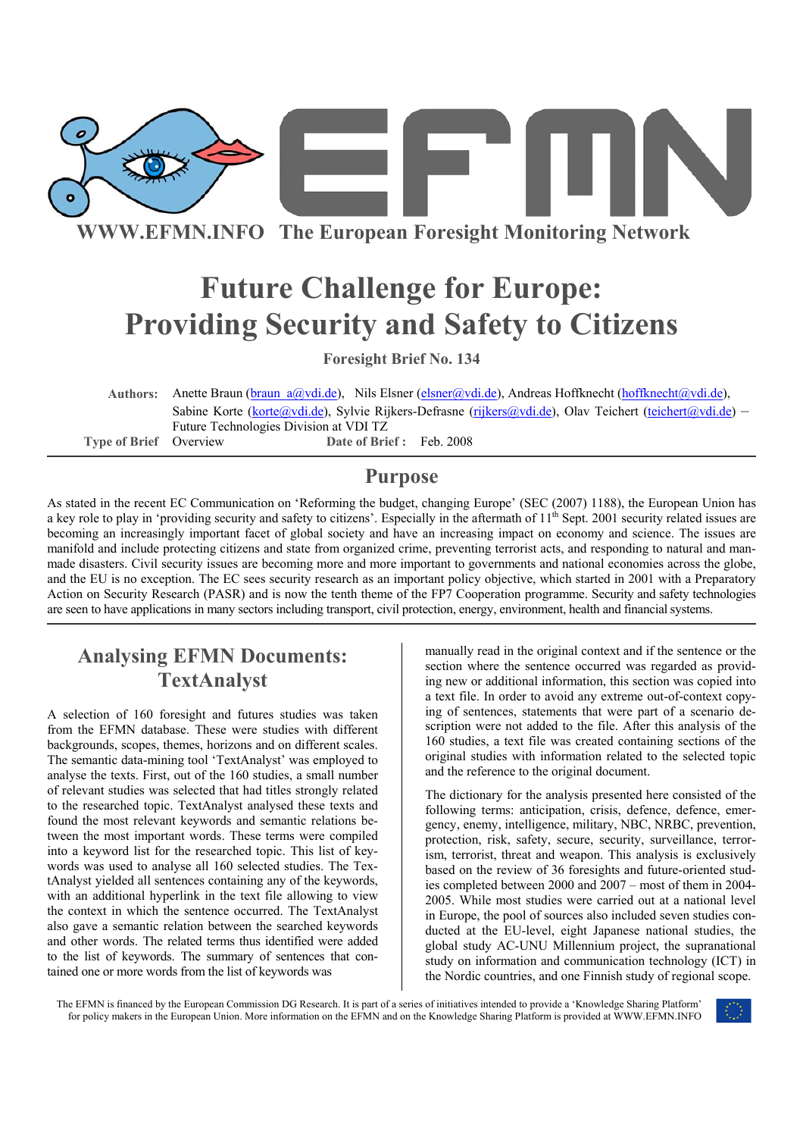

**WWW.EFMN.INFO The European Foresight Monitoring Network**

# **Future Challenge for Europe: Providing Security and Safety to Citizens**

**Foresight Brief No. 134** 

**Authors:** Anette Braun (braun\_a@vdi.de), Nils Elsner (elsner@vdi.de), Andreas Hoffknecht (hoffknecht@vdi.de), Sabine Korte (korte@vdi.de), Sylvie Rijkers-Defrasne (rijkers@vdi.de), Olav Teichert (teichert@vdi.de) – Future Technologies Division at VDI TZ **Type of Brief** Overview **Date of Brief :** Feb. 2008

### **Purpose**

As stated in the recent EC Communication on 'Reforming the budget, changing Europe' (SEC (2007) 1188), the European Union has a key role to play in 'providing security and safety to citizens'. Especially in the aftermath of 11<sup>th</sup> Sept. 2001 security related issues are becoming an increasingly important facet of global society and have an increasing impact on economy and science. The issues are manifold and include protecting citizens and state from organized crime, preventing terrorist acts, and responding to natural and manmade disasters. Civil security issues are becoming more and more important to governments and national economies across the globe, and the EU is no exception. The EC sees security research as an important policy objective, which started in 2001 with a Preparatory Action on Security Research (PASR) and is now the tenth theme of the FP7 Cooperation programme. Security and safety technologies are seen to have applications in many sectors including transport, civil protection, energy, environment, health and financial systems.

# **Analysing EFMN Documents: TextAnalyst**

A selection of 160 foresight and futures studies was taken from the EFMN database. These were studies with different backgrounds, scopes, themes, horizons and on different scales. The semantic data-mining tool 'TextAnalyst' was employed to analyse the texts. First, out of the 160 studies, a small number of relevant studies was selected that had titles strongly related to the researched topic. TextAnalyst analysed these texts and found the most relevant keywords and semantic relations between the most important words. These terms were compiled into a keyword list for the researched topic. This list of keywords was used to analyse all 160 selected studies. The TextAnalyst yielded all sentences containing any of the keywords, with an additional hyperlink in the text file allowing to view the context in which the sentence occurred. The TextAnalyst also gave a semantic relation between the searched keywords and other words. The related terms thus identified were added to the list of keywords. The summary of sentences that contained one or more words from the list of keywords was

manually read in the original context and if the sentence or the section where the sentence occurred was regarded as providing new or additional information, this section was copied into a text file. In order to avoid any extreme out-of-context copying of sentences, statements that were part of a scenario description were not added to the file. After this analysis of the 160 studies, a text file was created containing sections of the original studies with information related to the selected topic and the reference to the original document.

The dictionary for the analysis presented here consisted of the following terms: anticipation, crisis, defence, defence, emergency, enemy, intelligence, military, NBC, NRBC, prevention, protection, risk, safety, secure, security, surveillance, terrorism, terrorist, threat and weapon. This analysis is exclusively based on the review of 36 foresights and future-oriented studies completed between 2000 and 2007 – most of them in 2004- 2005. While most studies were carried out at a national level in Europe, the pool of sources also included seven studies conducted at the EU-level, eight Japanese national studies, the global study AC-UNU Millennium project, the supranational study on information and communication technology (ICT) in the Nordic countries, and one Finnish study of regional scope.

The EFMN is financed by the European Commission DG Research. It is part of a series of initiatives intended to provide a 'Knowledge Sharing Platform' for policy makers in the European Union. More information on the EFMN and on the Knowledge Sharing Platform is provided at WWW.EFMN.INFO

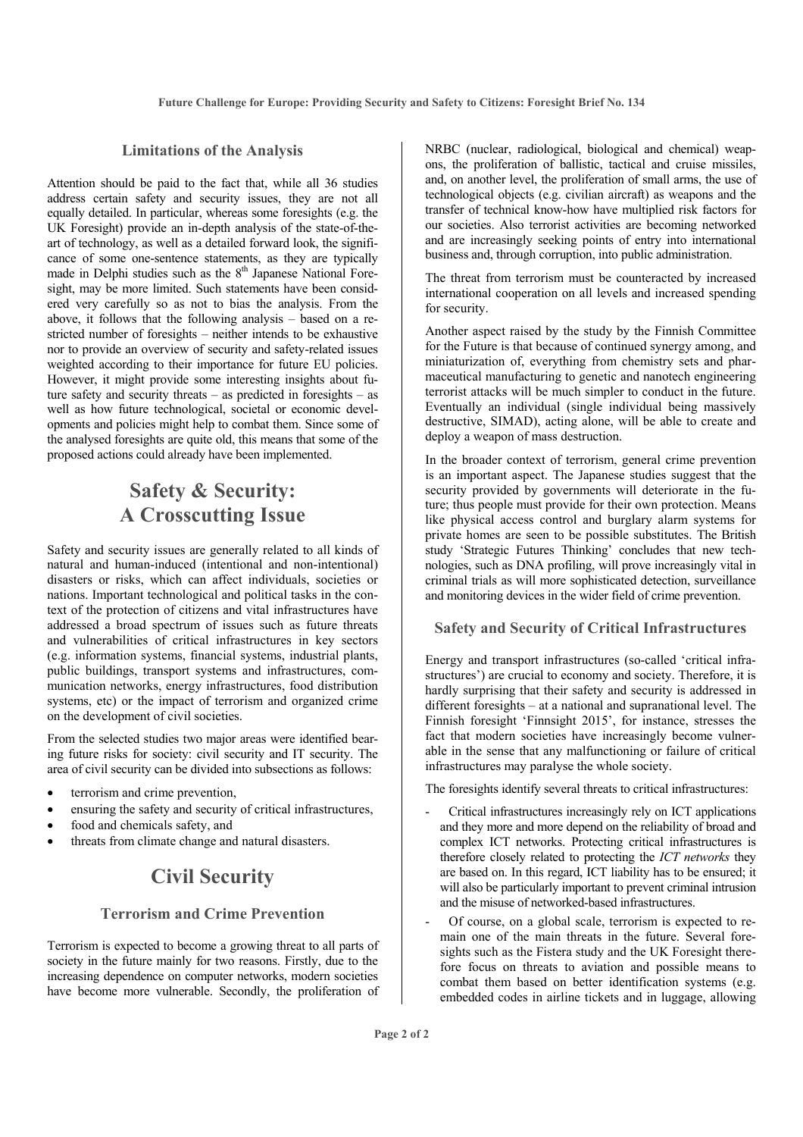#### **Limitations of the Analysis**

Attention should be paid to the fact that, while all 36 studies address certain safety and security issues, they are not all equally detailed. In particular, whereas some foresights (e.g. the UK Foresight) provide an in-depth analysis of the state-of-theart of technology, as well as a detailed forward look, the significance of some one-sentence statements, as they are typically made in Delphi studies such as the  $8<sup>th</sup>$  Japanese National Foresight, may be more limited. Such statements have been considered very carefully so as not to bias the analysis. From the above, it follows that the following analysis – based on a restricted number of foresights – neither intends to be exhaustive nor to provide an overview of security and safety-related issues weighted according to their importance for future EU policies. However, it might provide some interesting insights about future safety and security threats – as predicted in foresights – as well as how future technological, societal or economic developments and policies might help to combat them. Since some of the analysed foresights are quite old, this means that some of the proposed actions could already have been implemented.

# **Safety & Security: A Crosscutting Issue**

Safety and security issues are generally related to all kinds of natural and human-induced (intentional and non-intentional) disasters or risks, which can affect individuals, societies or nations. Important technological and political tasks in the context of the protection of citizens and vital infrastructures have addressed a broad spectrum of issues such as future threats and vulnerabilities of critical infrastructures in key sectors (e.g. information systems, financial systems, industrial plants, public buildings, transport systems and infrastructures, communication networks, energy infrastructures, food distribution systems, etc) or the impact of terrorism and organized crime on the development of civil societies.

From the selected studies two major areas were identified bearing future risks for society: civil security and IT security. The area of civil security can be divided into subsections as follows:

- terrorism and crime prevention,
- ensuring the safety and security of critical infrastructures.
- food and chemicals safety, and
- threats from climate change and natural disasters.

# **Civil Security**

#### **Terrorism and Crime Prevention**

Terrorism is expected to become a growing threat to all parts of society in the future mainly for two reasons. Firstly, due to the increasing dependence on computer networks, modern societies have become more vulnerable. Secondly, the proliferation of NRBC (nuclear, radiological, biological and chemical) weapons, the proliferation of ballistic, tactical and cruise missiles, and, on another level, the proliferation of small arms, the use of technological objects (e.g. civilian aircraft) as weapons and the transfer of technical know-how have multiplied risk factors for our societies. Also terrorist activities are becoming networked and are increasingly seeking points of entry into international business and, through corruption, into public administration.

The threat from terrorism must be counteracted by increased international cooperation on all levels and increased spending for security.

Another aspect raised by the study by the Finnish Committee for the Future is that because of continued synergy among, and miniaturization of, everything from chemistry sets and pharmaceutical manufacturing to genetic and nanotech engineering terrorist attacks will be much simpler to conduct in the future. Eventually an individual (single individual being massively destructive, SIMAD), acting alone, will be able to create and deploy a weapon of mass destruction.

In the broader context of terrorism, general crime prevention is an important aspect. The Japanese studies suggest that the security provided by governments will deteriorate in the future; thus people must provide for their own protection. Means like physical access control and burglary alarm systems for private homes are seen to be possible substitutes. The British study 'Strategic Futures Thinking' concludes that new technologies, such as DNA profiling, will prove increasingly vital in criminal trials as will more sophisticated detection, surveillance and monitoring devices in the wider field of crime prevention.

#### **Safety and Security of Critical Infrastructures**

Energy and transport infrastructures (so-called 'critical infrastructures') are crucial to economy and society. Therefore, it is hardly surprising that their safety and security is addressed in different foresights – at a national and supranational level. The Finnish foresight 'Finnsight 2015', for instance, stresses the fact that modern societies have increasingly become vulnerable in the sense that any malfunctioning or failure of critical infrastructures may paralyse the whole society.

The foresights identify several threats to critical infrastructures:

- Critical infrastructures increasingly rely on ICT applications and they more and more depend on the reliability of broad and complex ICT networks. Protecting critical infrastructures is therefore closely related to protecting the *ICT networks* they are based on. In this regard, ICT liability has to be ensured; it will also be particularly important to prevent criminal intrusion and the misuse of networked-based infrastructures.
- Of course, on a global scale, terrorism is expected to remain one of the main threats in the future. Several foresights such as the Fistera study and the UK Foresight therefore focus on threats to aviation and possible means to combat them based on better identification systems (e.g. embedded codes in airline tickets and in luggage, allowing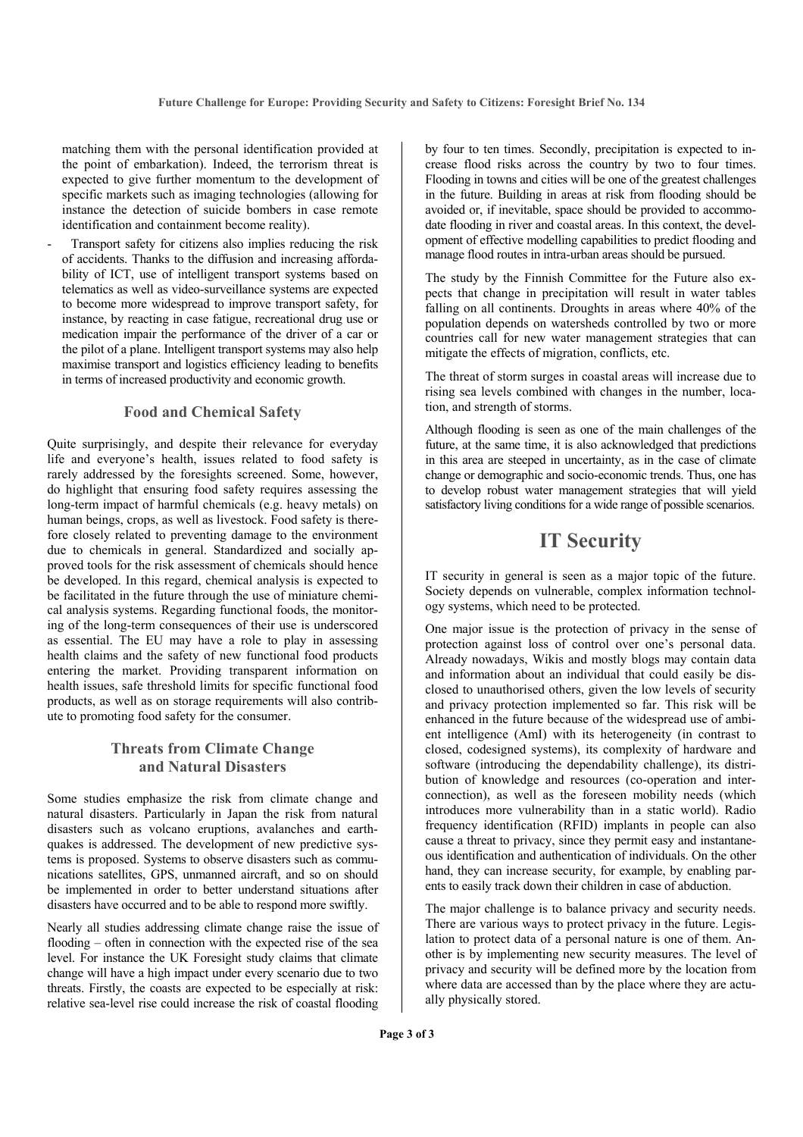matching them with the personal identification provided at the point of embarkation). Indeed, the terrorism threat is expected to give further momentum to the development of specific markets such as imaging technologies (allowing for instance the detection of suicide bombers in case remote identification and containment become reality).

Transport safety for citizens also implies reducing the risk of accidents. Thanks to the diffusion and increasing affordability of ICT, use of intelligent transport systems based on telematics as well as video-surveillance systems are expected to become more widespread to improve transport safety, for instance, by reacting in case fatigue, recreational drug use or medication impair the performance of the driver of a car or the pilot of a plane. Intelligent transport systems may also help maximise transport and logistics efficiency leading to benefits in terms of increased productivity and economic growth.

#### **Food and Chemical Safety**

Quite surprisingly, and despite their relevance for everyday life and everyone's health, issues related to food safety is rarely addressed by the foresights screened. Some, however, do highlight that ensuring food safety requires assessing the long-term impact of harmful chemicals (e.g. heavy metals) on human beings, crops, as well as livestock. Food safety is therefore closely related to preventing damage to the environment due to chemicals in general. Standardized and socially approved tools for the risk assessment of chemicals should hence be developed. In this regard, chemical analysis is expected to be facilitated in the future through the use of miniature chemical analysis systems. Regarding functional foods, the monitoring of the long-term consequences of their use is underscored as essential. The EU may have a role to play in assessing health claims and the safety of new functional food products entering the market. Providing transparent information on health issues, safe threshold limits for specific functional food products, as well as on storage requirements will also contribute to promoting food safety for the consumer.

#### **Threats from Climate Change and Natural Disasters**

Some studies emphasize the risk from climate change and natural disasters. Particularly in Japan the risk from natural disasters such as volcano eruptions, avalanches and earthquakes is addressed. The development of new predictive systems is proposed. Systems to observe disasters such as communications satellites, GPS, unmanned aircraft, and so on should be implemented in order to better understand situations after disasters have occurred and to be able to respond more swiftly.

Nearly all studies addressing climate change raise the issue of flooding – often in connection with the expected rise of the sea level. For instance the UK Foresight study claims that climate change will have a high impact under every scenario due to two threats. Firstly, the coasts are expected to be especially at risk: relative sea-level rise could increase the risk of coastal flooding

by four to ten times. Secondly, precipitation is expected to increase flood risks across the country by two to four times. Flooding in towns and cities will be one of the greatest challenges in the future. Building in areas at risk from flooding should be avoided or, if inevitable, space should be provided to accommodate flooding in river and coastal areas. In this context, the development of effective modelling capabilities to predict flooding and manage flood routes in intra-urban areas should be pursued.

The study by the Finnish Committee for the Future also expects that change in precipitation will result in water tables falling on all continents. Droughts in areas where 40% of the population depends on watersheds controlled by two or more countries call for new water management strategies that can mitigate the effects of migration, conflicts, etc.

The threat of storm surges in coastal areas will increase due to rising sea levels combined with changes in the number, location, and strength of storms.

Although flooding is seen as one of the main challenges of the future, at the same time, it is also acknowledged that predictions in this area are steeped in uncertainty, as in the case of climate change or demographic and socio-economic trends. Thus, one has to develop robust water management strategies that will yield satisfactory living conditions for a wide range of possible scenarios.

### **IT Security**

IT security in general is seen as a major topic of the future. Society depends on vulnerable, complex information technology systems, which need to be protected.

One major issue is the protection of privacy in the sense of protection against loss of control over one's personal data. Already nowadays, Wikis and mostly blogs may contain data and information about an individual that could easily be disclosed to unauthorised others, given the low levels of security and privacy protection implemented so far. This risk will be enhanced in the future because of the widespread use of ambient intelligence (AmI) with its heterogeneity (in contrast to closed, codesigned systems), its complexity of hardware and software (introducing the dependability challenge), its distribution of knowledge and resources (co-operation and interconnection), as well as the foreseen mobility needs (which introduces more vulnerability than in a static world). Radio frequency identification (RFID) implants in people can also cause a threat to privacy, since they permit easy and instantaneous identification and authentication of individuals. On the other hand, they can increase security, for example, by enabling parents to easily track down their children in case of abduction.

The major challenge is to balance privacy and security needs. There are various ways to protect privacy in the future. Legislation to protect data of a personal nature is one of them. Another is by implementing new security measures. The level of privacy and security will be defined more by the location from where data are accessed than by the place where they are actually physically stored.